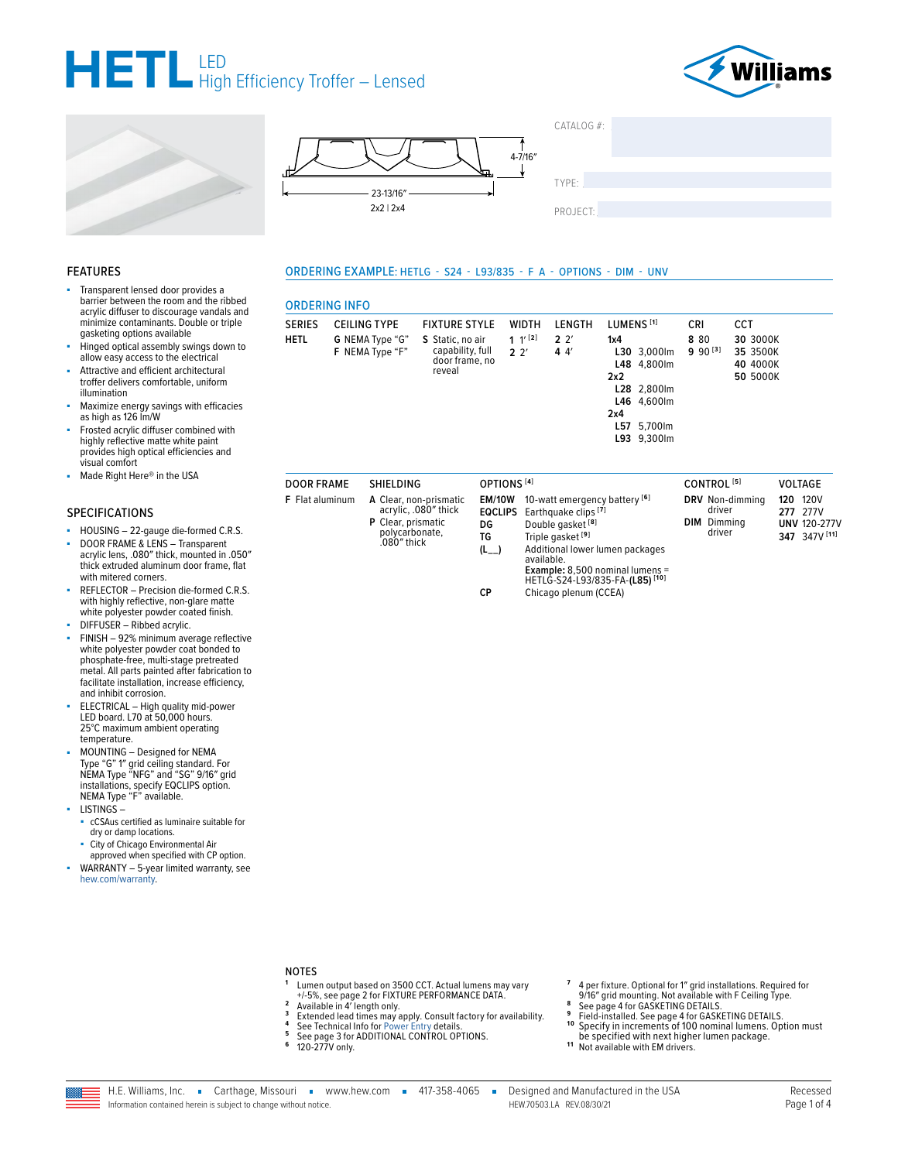







ORDERING EXAMPLE: HETLG - S24 - L93/835 - F A - OPTIONS - DIM - UNV

TYPE:

PROJECT:

 $CATAIOG #$ 

#### **FEATURES**

- Transparent lensed door provides a barrier between the room and the ribbed acrylic diffuser to discourage vandals and minimize contaminants. Double or triple gasketing options available
- Hinged optical assembly swings down to allow easy access to the electrical
- Attractive and efficient architectural troffer delivers comfortable, uniform illumination
- Maximize energy savings with efficacies as high as 126 lm/W
- Frosted acrylic diffuser combined with highly reflective matte white paint provides high optical efficiencies and visual comfort
- Made Right Here® in the USA

#### **SPECIFICATIONS**

- HOUSING 22-gauge die-formed C.R.S.
- DOOR FRAME & LENS Transparent<br>acrylic lens, .080" thick, mounted in .050" à, thick extruded aluminum door frame, flat with mitered corners.
- REFLECTOR Precision die-formed C.R.S. with highly reflective, non-glare matte white polyester powder coated finish.
- DIFFUSER Ribbed acrylic.
- FINISH 92% minimum average reflective white polyester powder coat bonded to phosphate-free, multi-stage pretreated metal. All parts painted after fabrication to<br>facilitate installation, increase efficiency, and inhibit corrosion.
- ELECTRICAL High quality mid-power<br>LED board. L70 at 50,000 hours.<br>25°C maximum ambient operating temperature.
- MOUNTING Designed for NEMA<br>Type "G" 1" grid ceiling standard. For<br>NEMA Type "NFG" and "SG" 9/16" grid installations, specify EQCLIPS option.<br>NEMA Type "F" available.
- **LISTINGS**
	- cCSAus certified as luminaire suitable for
	- dry or damp locations.
	- City of Chicago Environmental Air approved when specified with CP option.
- WARRANTY 5-year limited warranty, see hew.com/warranty.

| <b>ORDERING INFO</b>         |                                                            |                                                                                          |                                                           |                                               |                                                                                                 |                                                                                                                                      |                    |                             |                                                     |     |                                                          |
|------------------------------|------------------------------------------------------------|------------------------------------------------------------------------------------------|-----------------------------------------------------------|-----------------------------------------------|-------------------------------------------------------------------------------------------------|--------------------------------------------------------------------------------------------------------------------------------------|--------------------|-----------------------------|-----------------------------------------------------|-----|----------------------------------------------------------|
| <b>SERIES</b><br><b>HETL</b> | <b>CEILING TYPE</b><br>G NEMA Type "G"<br>F NEMA Type "F"  | <b>FIXTURE STYLE</b><br>S Static, no air<br>capability, full<br>door frame, no<br>reveal |                                                           | <b>WIDTH</b><br>1 $1^{\prime}$ [2]<br>$2^{2}$ | LENGTH<br>$2^{2}$<br>44'                                                                        | LUMENS <sup>[1]</sup><br>1x4<br>L30 3,000lm<br>L48 4,800lm<br>2x2<br>L28 2,800lm<br>L46 4,600lm<br>2x4<br>L57 5,700lm<br>L93 9,300lm | <b>CRI</b><br>8 80 | $9.90^{[3]}$                | CCT<br>30 3000K<br>35 3500K<br>40 4000K<br>50 5000K |     |                                                          |
| <b>DOOR FRAME</b>            | <b>SHIELDING</b>                                           |                                                                                          | OPTIONS <sup>[4]</sup>                                    |                                               |                                                                                                 |                                                                                                                                      |                    | CONTROL <sup>[5]</sup>      |                                                     |     | <b>VOLTAGE</b>                                           |
| <b>F</b> Flat aluminum       | <b>P</b> Clear, prismatic<br>polycarbonate,<br>.080" thick | A Clear, non-prismatic<br>acrylic, .080" thick                                           | <b>EM/10W</b><br><b>EQCLIPS</b><br>DG<br>ТG<br>$(L_{--})$ | available.                                    | Earthquake clips <sup>[7]</sup><br>Double gasket <sup>[8]</sup><br>Triple gasket <sup>[9]</sup> | 10-watt emergency battery [6]<br>Additional lower lumen packages<br><b>Example:</b> 8,500 nominal lumens =                           | DIM                | driver<br>Dimming<br>driver | DRV Non-dimming                                     | 120 | 120V<br>277 277V<br><b>UNV 120-277V</b><br>347 347V [11] |

HETLG-S24-L93/835-FA-(L85)<sup>[10]</sup> CP

Chicago plenum (CCEA)

#### **NOTES**

- Lumen output based on 3500 CCT. Actual lumens may vary +/-5%, see page 2 for FIXTURE PERFORMANCE DATA.  $\mathbf 2$
- Available in 4' length only.
- $\overline{\mathbf{3}}$ Extended lead times may apply. Consult factory for availability.<br>See Technical Info for Power Entry details.  $\overline{a}$ 
	- See page 3 for ADDITIONAL CONTROL OPTIONS.<br>120-277V only.
- ${\bf 5}$  $\bf 6$
- 4 per fixture. Optional for 1" grid installations. Required for 9/16" grid mounting. Not available with F Ceiling Type.
- See page 4 for GASKETING DETAILS
- 
- See page 4 for GASKETING DETAILS.<br>Field-installed. See page 4 for GASKETING DETAILS.<br>Specify in increments of 100 nominal lumens. Option must  $10$
- be specified with next higher lumen package.<br>Not available with EM drivers.
- $11$

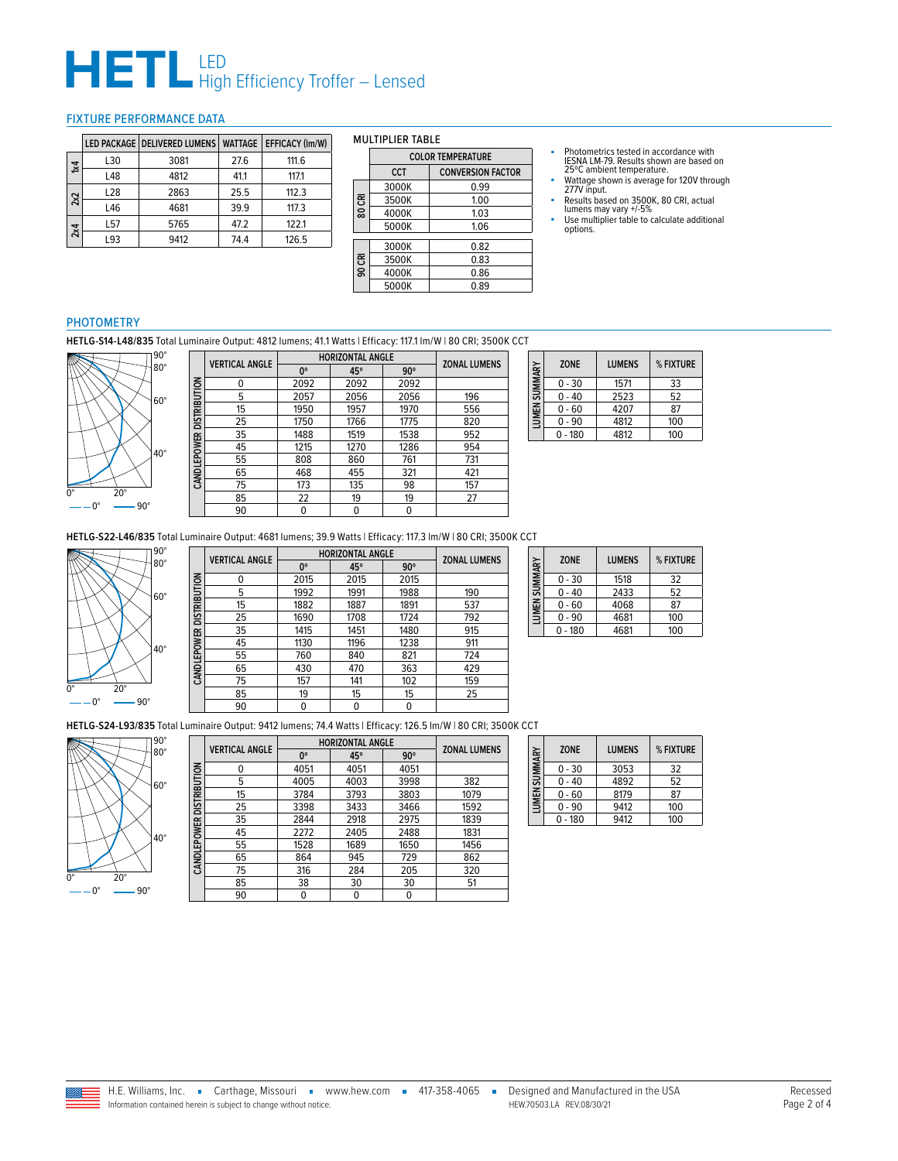# **HETL** LED<br>High Efficiency Troffer – Lensed

#### <span id="page-1-0"></span>FIXTURE PERFORMANCE DATA

|           |     | LED PACKAGE   DELIVERED LUMENS | <b>WATTAGE</b> | <b>EFFICACY (Im/W)</b> |
|-----------|-----|--------------------------------|----------------|------------------------|
| $\approx$ | L30 | 3081                           | 27.6           | 111.6                  |
|           | L48 | 4812                           | 41.1           | 117.1                  |
| 2x2       | L28 | 2863                           | 25.5           | 112.3                  |
|           | L46 | 4681                           | 39.9           | 117.3                  |
| 2x4       | L57 | 5765                           | 47.2           | 122.1                  |
|           | L93 | 9412                           | 74.4           | 126.5                  |

#### MULTIPLIER TABLE

|        | <b>COLOR TEMPERATURE</b> |                          |  |  |  |  |  |
|--------|--------------------------|--------------------------|--|--|--|--|--|
|        | CCT                      | <b>CONVERSION FACTOR</b> |  |  |  |  |  |
|        | 3000K                    | 0.99                     |  |  |  |  |  |
| 80 CRI | 3500K                    | 1.00                     |  |  |  |  |  |
|        | 4000K                    | 1.03                     |  |  |  |  |  |
|        | 5000K                    | 1.06                     |  |  |  |  |  |
|        |                          |                          |  |  |  |  |  |
|        | 3000K                    | 0.82                     |  |  |  |  |  |
|        | 3500K                    | 0.83                     |  |  |  |  |  |
| 90 CRI | 4000K                    | 0.86                     |  |  |  |  |  |
|        | 5000K                    | 0.89                     |  |  |  |  |  |
|        |                          |                          |  |  |  |  |  |

- Photometrics tested in accordance with IESNA LM-79. Results shown are based on 25ºC ambient temperature.
- Wattage shown is average for 120V through 277V input.
- Results based on 3500K, 80 CRI, actual<br>lumens may vary +/-5%<br>■ Use multiplier table to calculate additional<br>options.
- 

### PHOTOMETRY

**HETLG-S14-L48/835** Total Luminaire Output: 4812 lumens; 41.1 Watts | Efficacy: 117.1 lm/W | 80 CRI; 3500K CCT



|                          | <b>VERTICAL ANGLE</b> | <b>HORIZONTAL ANGLE</b> | <b>ZONAL LUMENS</b> |            |     |
|--------------------------|-----------------------|-------------------------|---------------------|------------|-----|
|                          |                       | 0°                      | 45°                 | $90^\circ$ |     |
|                          | 0                     | 2092                    | 2092                | 2092       |     |
| CANDLEPOWER DISTRIBUTION | 5                     | 2057                    | 2056                | 2056       | 196 |
|                          | 15                    | 1950                    | 1957                | 1970       | 556 |
|                          | 25                    | 1750                    | 1766                | 1775       | 820 |
|                          | 35                    | 1488                    | 1519                | 1538       | 952 |
|                          | 45                    | 1215                    | 1270                | 1286       | 954 |
|                          | 55                    | 808                     | 860                 | 761        | 731 |
|                          | 65                    | 468                     | 455                 | 321        | 421 |
|                          | 75                    | 173                     | 135                 | 98         | 157 |
|                          | 85                    | 22                      | 19                  | 19         | 27  |
|                          | 90                    | 0                       | 0                   | 0          |     |

|               |          | <b>ZONE</b> | <b>LUMENS</b> | % FIXTURE |
|---------------|----------|-------------|---------------|-----------|
| LUMEN SUMMARY |          | $0 - 30$    | 1571          | 33        |
|               | $0 - 40$ | 2523        | 52            |           |
|               | $0 - 60$ | 4207        | 87            |           |
|               |          | $0 - 90$    | 4812          | 100       |
|               |          | $-180$      | 4812          | 100       |

**HETLG-S22-L46/835** Total Luminaire Output: 4681 lumens; 39.9 Watts | Efficacy: 117.3 lm/W | 80 CRI; 3500K CCT



|                          | <b>VERTICAL ANGLE</b> | <b>HORIZONTAL ANGLE</b> | <b>ZONAL LUMENS</b> |            |     |
|--------------------------|-----------------------|-------------------------|---------------------|------------|-----|
|                          |                       | 0°                      | 45°                 | $90^\circ$ |     |
| CANDLEPOWER DISTRIBUTION | 0                     | 2015                    | 2015                | 2015       |     |
|                          | 5                     | 1992                    | 1991                | 1988       | 190 |
|                          | 15                    | 1882                    | 1887                | 1891       | 537 |
|                          | 25                    | 1690                    | 1708                | 1724       | 792 |
|                          | 35                    | 1415                    | 1451                | 1480       | 915 |
|                          | 45                    | 1130                    | 1196                | 1238       | 911 |
|                          | 55                    | 760                     | 840                 | 821        | 724 |
|                          | 65                    | 430                     | 470                 | 363        | 429 |
|                          | 75                    | 157                     | 141                 | 102        | 159 |
|                          | 85                    | 19                      | 15                  | 15         | 25  |
|                          | 90                    | 0                       | 0                   | 0          |     |

| LUMEN SUMMARY | <b>ZONE</b> | <b>LUMENS</b> | % FIXTURE |
|---------------|-------------|---------------|-----------|
|               | $0 - 30$    | 1518          | 32        |
|               | 0 - 40      | 2433          | 52        |
|               | 0 - 60      | 4068          | 87        |
|               | $0 - 90$    | 4681          | 100       |
|               | $0 - 180$   | 4681          | 100       |

**HETLG-S24-L93/835** Total Luminaire Output: 9412 lumens; 74.4 Watts | Efficacy: 126.5 lm/W | 80 CRI; 3500K CCT



|              | <b>VERTICAL ANGLE</b> | <b>HORIZONTAL ANGLE</b> | <b>ZONAL LUMENS</b> |            |      |
|--------------|-----------------------|-------------------------|---------------------|------------|------|
|              |                       | 0°                      | 45°                 | $90^\circ$ |      |
|              | 0                     | 4051                    | 4051                | 4051       |      |
| DISTRIBUTION | 5                     | 4005                    | 4003                | 3998       | 382  |
|              | 15                    | 3784                    | 3793                | 3803       | 1079 |
|              | 25                    | 3398                    | 3433                | 3466       | 1592 |
|              | 35                    | 2844                    | 2918                | 2975       | 1839 |
| CANDLEPOWER  | 45                    | 2272                    | 2405                | 2488       | 1831 |
|              | 55                    | 1528                    | 1689                | 1650       | 1456 |
|              | 65                    | 864                     | 945                 | 729        | 862  |
|              | 75                    | 316                     | 284                 | 205        | 320  |
|              | 85                    | 38                      | 30                  | 30         | 51   |
|              | 90                    | 0                       | 0                   | 0          |      |
|              |                       |                         |                     |            |      |

| LUMEN SUMMARY | <b>ZONE</b> | <b>LUMENS</b> | % FIXTURE |
|---------------|-------------|---------------|-----------|
|               | $0 - 30$    | 3053          | 32        |
|               | $0 - 40$    | 4892          | 52        |
|               | $0 - 60$    | 8179          | 87        |
|               | $0 - 90$    | 9412          | 100       |
|               | 180         | 9412          | 100       |

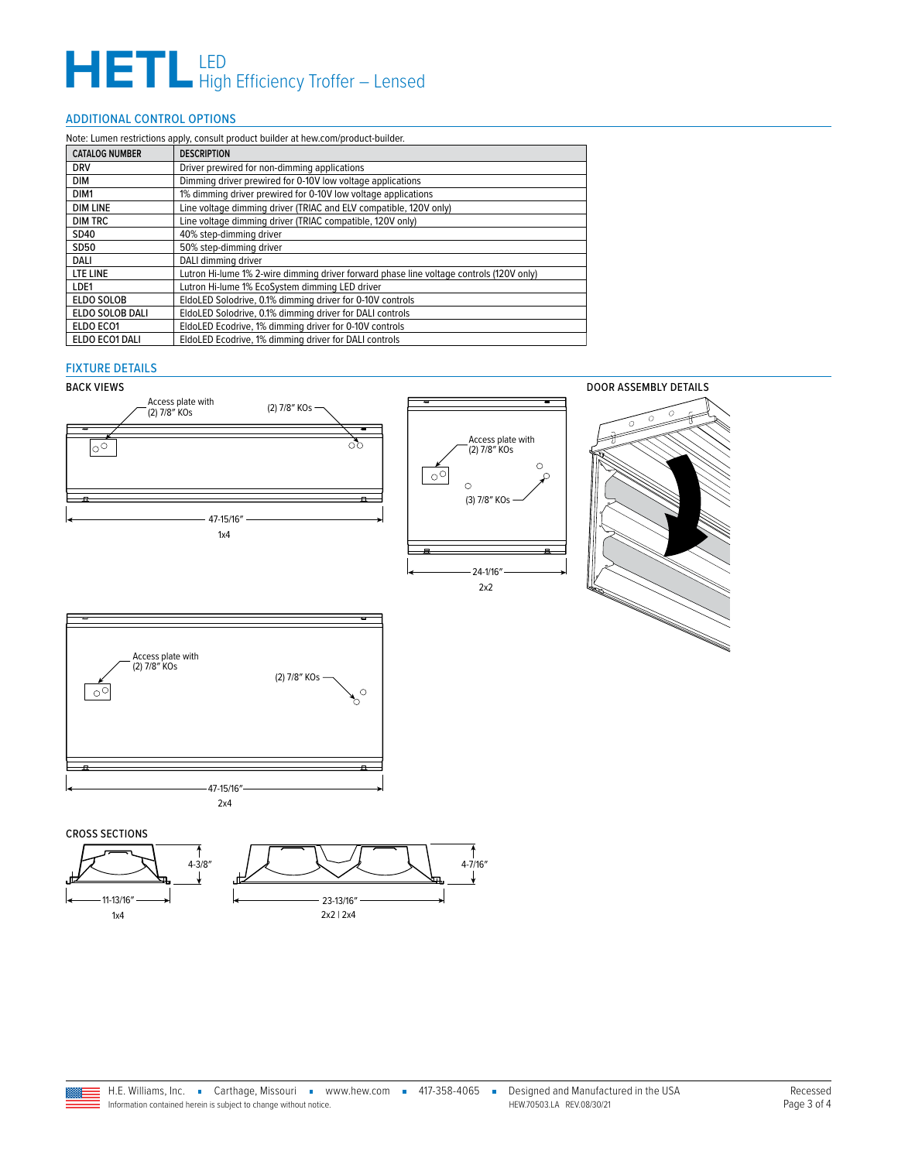# **HETL** LED<br>High Efficiency Troffer – Lensed

### <span id="page-2-0"></span>ADDITIONAL CONTROL OPTIONS

| Note: Lumen restrictions apply, consult product builder at hew.com/product-builder. |                                                                                         |  |  |  |  |
|-------------------------------------------------------------------------------------|-----------------------------------------------------------------------------------------|--|--|--|--|
| <b>CATALOG NUMBER</b>                                                               | <b>DESCRIPTION</b>                                                                      |  |  |  |  |
| <b>DRV</b>                                                                          | Driver prewired for non-dimming applications                                            |  |  |  |  |
| DIM                                                                                 | Dimming driver prewired for 0-10V low voltage applications                              |  |  |  |  |
| DIM1                                                                                | 1% dimming driver prewired for 0-10V low voltage applications                           |  |  |  |  |
| <b>DIM LINE</b>                                                                     | Line voltage dimming driver (TRIAC and ELV compatible, 120V only)                       |  |  |  |  |
| <b>DIM TRC</b>                                                                      | Line voltage dimming driver (TRIAC compatible, 120V only)                               |  |  |  |  |
| SD40                                                                                | 40% step-dimming driver                                                                 |  |  |  |  |
| SD50                                                                                | 50% step-dimming driver                                                                 |  |  |  |  |
| DALI                                                                                | DALI dimming driver                                                                     |  |  |  |  |
| LTE LINE                                                                            | Lutron Hi-lume 1% 2-wire dimming driver forward phase line voltage controls (120V only) |  |  |  |  |
| LDE1                                                                                | Lutron Hi-lume 1% EcoSystem dimming LED driver                                          |  |  |  |  |
| ELDO SOLOB                                                                          | EldoLED Solodrive, 0.1% dimming driver for 0-10V controls                               |  |  |  |  |
| ELDO SOLOB DALI                                                                     | EldoLED Solodrive, 0.1% dimming driver for DALI controls                                |  |  |  |  |
| ELDO ECO1                                                                           | EldoLED Ecodrive, 1% dimming driver for 0-10V controls                                  |  |  |  |  |
| ELDO ECO1 DALI                                                                      | EldoLED Ecodrive, 1% dimming driver for DALI controls                                   |  |  |  |  |

### FIXTURE DETAILS